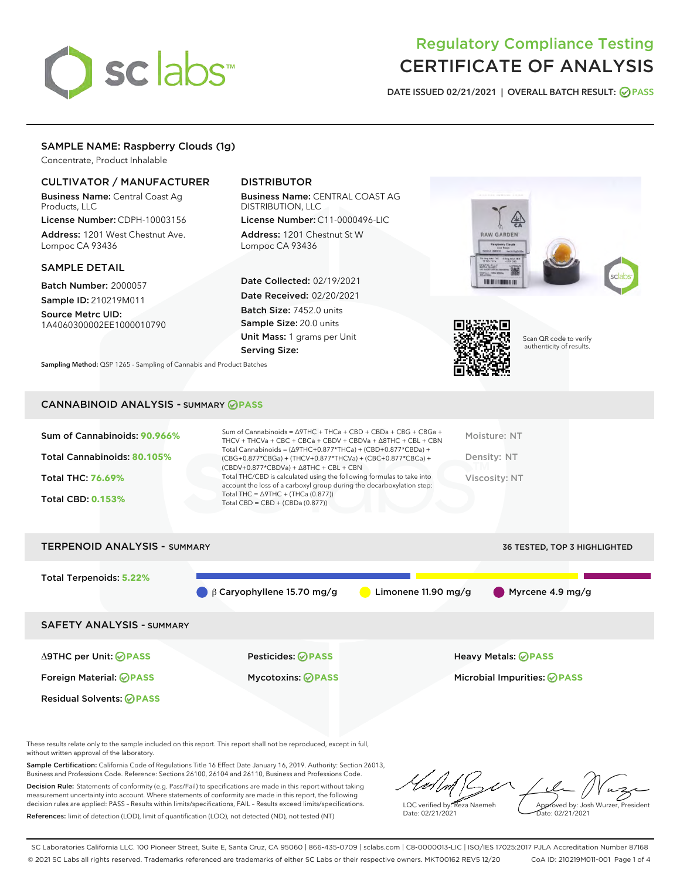# sclabs<sup>\*</sup>

# Regulatory Compliance Testing CERTIFICATE OF ANALYSIS

DATE ISSUED 02/21/2021 | OVERALL BATCH RESULT: @ PASS

# SAMPLE NAME: Raspberry Clouds (1g)

Concentrate, Product Inhalable

# CULTIVATOR / MANUFACTURER

Business Name: Central Coast Ag Products, LLC

License Number: CDPH-10003156 Address: 1201 West Chestnut Ave. Lompoc CA 93436

#### SAMPLE DETAIL

Batch Number: 2000057 Sample ID: 210219M011

Source Metrc UID: 1A4060300002EE1000010790

# DISTRIBUTOR

Business Name: CENTRAL COAST AG DISTRIBUTION, LLC

License Number: C11-0000496-LIC Address: 1201 Chestnut St W Lompoc CA 93436

Date Collected: 02/19/2021 Date Received: 02/20/2021 Batch Size: 7452.0 units Sample Size: 20.0 units Unit Mass: 1 grams per Unit Serving Size:





Scan QR code to verify authenticity of results.

Sampling Method: QSP 1265 - Sampling of Cannabis and Product Batches

#### CANNABINOID ANALYSIS - SUMMARY **PASS**

| Total THC/CBD is calculated using the following formulas to take into<br>Total THC: 76.69%<br>Viscosity: NT<br>account the loss of a carboxyl group during the decarboxylation step:<br>Total THC = $\triangle$ 9THC + (THCa (0.877))<br><b>Total CBD: 0.153%</b><br>Total CBD = CBD + (CBDa $(0.877)$ ) |
|----------------------------------------------------------------------------------------------------------------------------------------------------------------------------------------------------------------------------------------------------------------------------------------------------------|
|                                                                                                                                                                                                                                                                                                          |

TERPENOID ANALYSIS - SUMMARY 36 TESTED, TOP 3 HIGHLIGHTED, TOP 3 HIGHLIGHTED, TOP 3 HIGHLIGHTED, TOP 3 HIGHLIGHTED, TOP 3 HIGHLIGHTED, TOP 3 HIGHLIGHTED, TOP 3 HIGHLIGHTED, TOP 3 HIGHLIGHTED, TOP 3 HIGHLIGHTED, TOP 3 HIGHL

| I ERPENUID ANAL I 313 - SUMMARY  |                                  |                       | <b>30 IESIED, TOP 3 HIGHLIGHTED</b> |
|----------------------------------|----------------------------------|-----------------------|-------------------------------------|
| <b>Total Terpenoids: 5.22%</b>   | $\beta$ Caryophyllene 15.70 mg/g | Limonene $11.90$ mg/g | $\blacksquare$ Myrcene 4.9 mg/g     |
| <b>SAFETY ANALYSIS - SUMMARY</b> |                                  |                       |                                     |
| ∆9THC per Unit: ⊘PASS            | <b>Pesticides: ⊘PASS</b>         |                       | <b>Heavy Metals: ⊘ PASS</b>         |
| Foreign Material: <b>⊘ PASS</b>  | <b>Mycotoxins: ⊘PASS</b>         |                       | Microbial Impurities: @PASS         |
| <b>Residual Solvents: ⊘PASS</b>  |                                  |                       |                                     |

These results relate only to the sample included on this report. This report shall not be reproduced, except in full, without written approval of the laboratory.

Sample Certification: California Code of Regulations Title 16 Effect Date January 16, 2019. Authority: Section 26013, Business and Professions Code. Reference: Sections 26100, 26104 and 26110, Business and Professions Code.

Decision Rule: Statements of conformity (e.g. Pass/Fail) to specifications are made in this report without taking measurement uncertainty into account. Where statements of conformity are made in this report, the following decision rules are applied: PASS – Results within limits/specifications, FAIL – Results exceed limits/specifications. References: limit of detection (LOD), limit of quantification (LOQ), not detected (ND), not tested (NT)

LQC verified by: Reza Naemeh Date: 02/21/2021 Approved by: Josh Wurzer, President Date: 02/21/2021

SC Laboratories California LLC. 100 Pioneer Street, Suite E, Santa Cruz, CA 95060 | 866-435-0709 | sclabs.com | C8-0000013-LIC | ISO/IES 17025:2017 PJLA Accreditation Number 87168 © 2021 SC Labs all rights reserved. Trademarks referenced are trademarks of either SC Labs or their respective owners. MKT00162 REV5 12/20 CoA ID: 210219M011-001 Page 1 of 4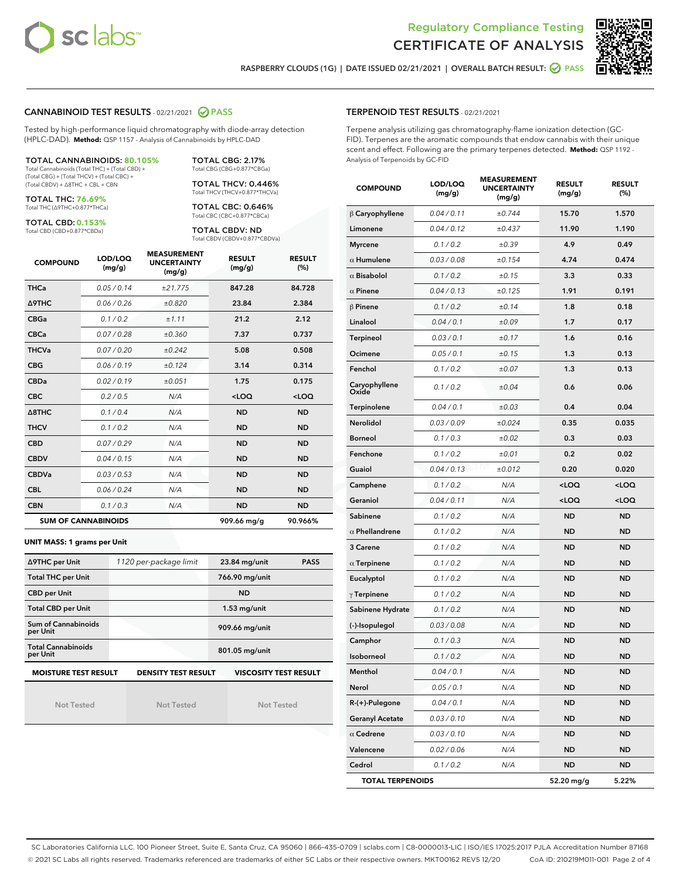



RASPBERRY CLOUDS (1G) | DATE ISSUED 02/21/2021 | OVERALL BATCH RESULT: @ PASS

#### CANNABINOID TEST RESULTS - 02/21/2021 2 PASS

Tested by high-performance liquid chromatography with diode-array detection (HPLC-DAD). **Method:** QSP 1157 - Analysis of Cannabinoids by HPLC-DAD

TOTAL CANNABINOIDS: **80.105%** Total Cannabinoids (Total THC) + (Total CBD) +

(Total CBG) + (Total THCV) + (Total CBC) + (Total CBDV) + ∆8THC + CBL + CBN

TOTAL THC: **76.69%** Total THC (∆9THC+0.877\*THCa)

TOTAL CBD: **0.153%**

Total CBD (CBD+0.877\*CBDa)

TOTAL CBG: 2.17% Total CBG (CBG+0.877\*CBGa)

TOTAL THCV: 0.446% Total THCV (THCV+0.877\*THCVa)

TOTAL CBC: 0.646% Total CBC (CBC+0.877\*CBCa)

TOTAL CBDV: ND Total CBDV (CBDV+0.877\*CBDVa)

| <b>COMPOUND</b>  | LOD/LOQ<br>(mg/g)          | <b>MEASUREMENT</b><br><b>UNCERTAINTY</b><br>(mg/g) | <b>RESULT</b><br>(mg/g) | <b>RESULT</b><br>(%) |
|------------------|----------------------------|----------------------------------------------------|-------------------------|----------------------|
| <b>THCa</b>      | 0.05/0.14                  | ±21.775                                            | 847.28                  | 84.728               |
| <b>A9THC</b>     | 0.06 / 0.26                | ±0.820                                             | 23.84                   | 2.384                |
| <b>CBGa</b>      | 0.1/0.2                    | ±1.11                                              | 21.2                    | 2.12                 |
| <b>CBCa</b>      | 0.07/0.28                  | ±0.360                                             | 7.37                    | 0.737                |
| <b>THCVa</b>     | 0.07/0.20                  | ±0.242                                             | 5.08                    | 0.508                |
| <b>CBG</b>       | 0.06/0.19                  | ±0.124                                             | 3.14                    | 0.314                |
| <b>CBDa</b>      | 0.02/0.19                  | ±0.051                                             | 1.75                    | 0.175                |
| <b>CBC</b>       | 0.2 / 0.5                  | N/A                                                | $<$ LOQ                 | $<$ LOQ              |
| $\triangle$ 8THC | 0.1/0.4                    | N/A                                                | <b>ND</b>               | <b>ND</b>            |
| <b>THCV</b>      | 0.1/0.2                    | N/A                                                | <b>ND</b>               | <b>ND</b>            |
| <b>CBD</b>       | 0.07/0.29                  | N/A                                                | <b>ND</b>               | <b>ND</b>            |
| <b>CBDV</b>      | 0.04 / 0.15                | N/A                                                | <b>ND</b>               | <b>ND</b>            |
| <b>CBDVa</b>     | 0.03/0.53                  | N/A                                                | <b>ND</b>               | <b>ND</b>            |
| <b>CBL</b>       | 0.06 / 0.24                | N/A                                                | <b>ND</b>               | <b>ND</b>            |
| <b>CBN</b>       | 0.1/0.3                    | N/A                                                | <b>ND</b>               | <b>ND</b>            |
|                  | <b>SUM OF CANNABINOIDS</b> |                                                    | 909.66 mg/g             | 90.966%              |

#### **UNIT MASS: 1 grams per Unit**

| ∆9THC per Unit                                                                            | 1120 per-package limit | 23.84 mg/unit<br><b>PASS</b> |  |  |  |
|-------------------------------------------------------------------------------------------|------------------------|------------------------------|--|--|--|
| <b>Total THC per Unit</b>                                                                 |                        | 766.90 mg/unit               |  |  |  |
| <b>CBD per Unit</b>                                                                       |                        | <b>ND</b>                    |  |  |  |
| <b>Total CBD per Unit</b>                                                                 |                        | $1.53$ mg/unit               |  |  |  |
| Sum of Cannabinoids<br>per Unit                                                           |                        | 909.66 mg/unit               |  |  |  |
| <b>Total Cannabinoids</b><br>per Unit                                                     |                        | 801.05 mg/unit               |  |  |  |
| <b>MOISTURE TEST RESULT</b><br><b>VISCOSITY TEST RESULT</b><br><b>DENSITY TEST RESULT</b> |                        |                              |  |  |  |

Not Tested

Not Tested

Not Tested

#### TERPENOID TEST RESULTS - 02/21/2021

Terpene analysis utilizing gas chromatography-flame ionization detection (GC-FID). Terpenes are the aromatic compounds that endow cannabis with their unique scent and effect. Following are the primary terpenes detected. **Method:** QSP 1192 - Analysis of Terpenoids by GC-FID

| <b>COMPOUND</b>         | LOD/LOQ<br>(mg/g) | <b>MEASUREMENT</b><br><b>UNCERTAINTY</b><br>(mg/g) | <b>RESULT</b><br>(mg/g)                         | <b>RESULT</b><br>(%) |
|-------------------------|-------------------|----------------------------------------------------|-------------------------------------------------|----------------------|
| $\beta$ Caryophyllene   | 0.04 / 0.11       | ±0.744                                             | 15.70                                           | 1.570                |
| Limonene                | 0.04 / 0.12       | ±0.437                                             | 11.90                                           | 1.190                |
| <b>Myrcene</b>          | 0.1 / 0.2         | $\pm 0.39$                                         | 4.9                                             | 0.49                 |
| $\alpha$ Humulene       | 0.03 / 0.08       | ±0.154                                             | 4.74                                            | 0.474                |
| $\alpha$ Bisabolol      | 0.1 / 0.2         | ±0.15                                              | 3.3                                             | 0.33                 |
| $\alpha$ Pinene         | 0.04 / 0.13       | ±0.125                                             | 1.91                                            | 0.191                |
| $\beta$ Pinene          | 0.1 / 0.2         | ±0.14                                              | 1.8                                             | 0.18                 |
| Linalool                | 0.04 / 0.1        | ±0.09                                              | 1.7                                             | 0.17                 |
| Terpineol               | 0.03 / 0.1        | ±0.17                                              | 1.6                                             | 0.16                 |
| Ocimene                 | 0.05 / 0.1        | ±0.15                                              | 1.3                                             | 0.13                 |
| Fenchol                 | 0.1 / 0.2         | ±0.07                                              | 1.3                                             | 0.13                 |
| Caryophyllene<br>Oxide  | 0.1 / 0.2         | ±0.04                                              | 0.6                                             | 0.06                 |
| Terpinolene             | 0.04 / 0.1        | ±0.03                                              | 0.4                                             | 0.04                 |
| Nerolidol               | 0.03/0.09         | ±0.024                                             | 0.35                                            | 0.035                |
| <b>Borneol</b>          | 0.1 / 0.3         | ±0.02                                              | 0.3                                             | 0.03                 |
| Fenchone                | 0.1 / 0.2         | ±0.01                                              | 0.2                                             | 0.02                 |
| Guaiol                  | 0.04 / 0.13       | ±0.012                                             | 0.20                                            | 0.020                |
| Camphene                | 0.1 / 0.2         | N/A                                                | <loq< th=""><th><loq< th=""></loq<></th></loq<> | <loq< th=""></loq<>  |
| Geraniol                | 0.04 / 0.11       | N/A                                                | $<$ LOQ                                         | <loq< td=""></loq<>  |
| Sabinene                | 0.1 / 0.2         | N/A                                                | <b>ND</b>                                       | ND                   |
| $\alpha$ Phellandrene   | 0.1 / 0.2         | N/A                                                | <b>ND</b>                                       | ND                   |
| 3 Carene                | 0.1 / 0.2         | N/A                                                | <b>ND</b>                                       | ND                   |
| $\alpha$ Terpinene      | 0.1 / 0.2         | N/A                                                | ND                                              | ND                   |
| Eucalyptol              | 0.1 / 0.2         | N/A                                                | ND                                              | ND                   |
| $\gamma$ Terpinene      | 0.1 / 0.2         | N/A                                                | <b>ND</b>                                       | ND                   |
| Sabinene Hydrate        | 0.1 / 0.2         | N/A                                                | <b>ND</b>                                       | ND                   |
| (-)-Isopulegol          | 0.03 / 0.08       | N/A                                                | ND                                              | ND                   |
| Camphor                 | 0.1 / 0.3         | N/A                                                | <b>ND</b>                                       | ND                   |
| Isoborneol              | 0.1 / 0.2         | N/A                                                | <b>ND</b>                                       | ND                   |
| Menthol                 | 0.04/0.1          | N/A                                                | <b>ND</b>                                       | ND                   |
| Nerol                   | 0.05 / 0.1        | N/A                                                | ND                                              | ND                   |
| R-(+)-Pulegone          | 0.04 / 0.1        | N/A                                                | ND                                              | ND                   |
| <b>Geranyl Acetate</b>  | 0.03 / 0.10       | N/A                                                | ND                                              | ND                   |
| $\alpha$ Cedrene        | 0.03 / 0.10       | N/A                                                | ND                                              | ND                   |
| Valencene               | 0.02 / 0.06       | N/A                                                | ND                                              | <b>ND</b>            |
| Cedrol                  | 0.1 / 0.2         | N/A                                                | ND                                              | ND                   |
| <b>TOTAL TERPENOIDS</b> |                   |                                                    | 52.20 mg/g                                      | 5.22%                |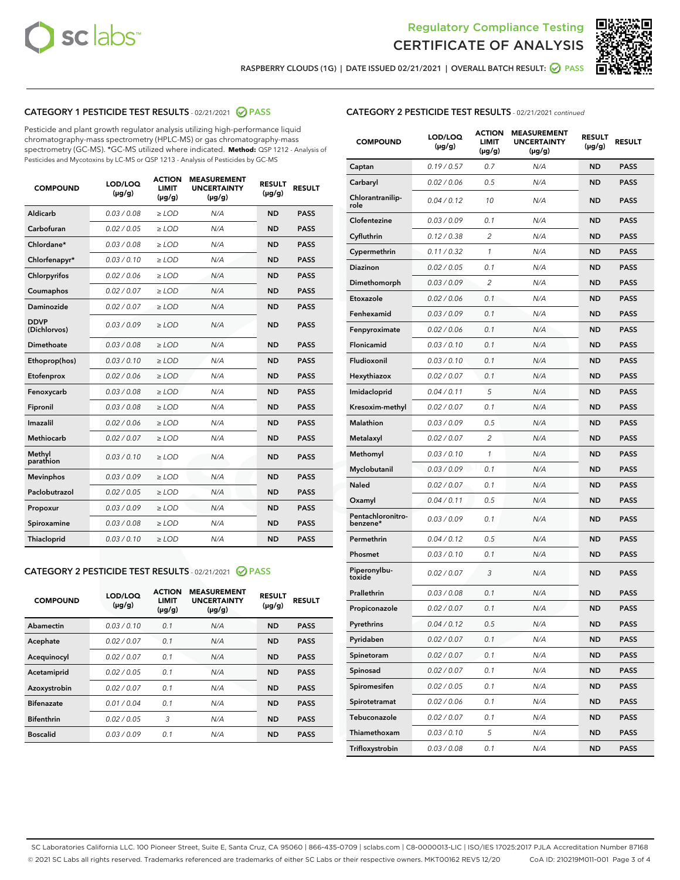



RASPBERRY CLOUDS (1G) | DATE ISSUED 02/21/2021 | OVERALL BATCH RESULT: @ PASS

# CATEGORY 1 PESTICIDE TEST RESULTS - 02/21/2021 2 PASS

Pesticide and plant growth regulator analysis utilizing high-performance liquid chromatography-mass spectrometry (HPLC-MS) or gas chromatography-mass spectrometry (GC-MS). \*GC-MS utilized where indicated. **Method:** QSP 1212 - Analysis of Pesticides and Mycotoxins by LC-MS or QSP 1213 - Analysis of Pesticides by GC-MS

| <b>COMPOUND</b>             | LOD/LOQ<br>$(\mu g/g)$ | <b>ACTION</b><br><b>LIMIT</b><br>$(\mu g/g)$ | <b>MEASUREMENT</b><br><b>UNCERTAINTY</b><br>$(\mu g/g)$ | <b>RESULT</b><br>$(\mu g/g)$ | <b>RESULT</b> |
|-----------------------------|------------------------|----------------------------------------------|---------------------------------------------------------|------------------------------|---------------|
| Aldicarb                    | 0.03 / 0.08            | $\ge$ LOD                                    | N/A                                                     | <b>ND</b>                    | <b>PASS</b>   |
| Carbofuran                  | 0.02/0.05              | $>$ LOD                                      | N/A                                                     | <b>ND</b>                    | <b>PASS</b>   |
| Chlordane*                  | 0.03 / 0.08            | $\ge$ LOD                                    | N/A                                                     | <b>ND</b>                    | <b>PASS</b>   |
| Chlorfenapyr*               | 0.03/0.10              | $\ge$ LOD                                    | N/A                                                     | <b>ND</b>                    | <b>PASS</b>   |
| Chlorpyrifos                | 0.02 / 0.06            | $\ge$ LOD                                    | N/A                                                     | <b>ND</b>                    | <b>PASS</b>   |
| Coumaphos                   | 0.02/0.07              | $>$ LOD                                      | N/A                                                     | <b>ND</b>                    | <b>PASS</b>   |
| <b>Daminozide</b>           | 0.02 / 0.07            | $\ge$ LOD                                    | N/A                                                     | <b>ND</b>                    | <b>PASS</b>   |
| <b>DDVP</b><br>(Dichlorvos) | 0.03/0.09              | $\ge$ LOD                                    | N/A                                                     | <b>ND</b>                    | <b>PASS</b>   |
| <b>Dimethoate</b>           | 0.03 / 0.08            | $\ge$ LOD                                    | N/A                                                     | <b>ND</b>                    | <b>PASS</b>   |
| Ethoprop(hos)               | 0.03/0.10              | $\ge$ LOD                                    | N/A                                                     | <b>ND</b>                    | <b>PASS</b>   |
| Etofenprox                  | 0.02 / 0.06            | $\ge$ LOD                                    | N/A                                                     | <b>ND</b>                    | <b>PASS</b>   |
| Fenoxycarb                  | 0.03 / 0.08            | $\ge$ LOD                                    | N/A                                                     | <b>ND</b>                    | <b>PASS</b>   |
| Fipronil                    | 0.03/0.08              | $>$ LOD                                      | N/A                                                     | <b>ND</b>                    | <b>PASS</b>   |
| Imazalil                    | 0.02 / 0.06            | $\ge$ LOD                                    | N/A                                                     | <b>ND</b>                    | <b>PASS</b>   |
| Methiocarb                  | 0.02 / 0.07            | $\ge$ LOD                                    | N/A                                                     | <b>ND</b>                    | <b>PASS</b>   |
| Methyl<br>parathion         | 0.03/0.10              | $>$ LOD                                      | N/A                                                     | <b>ND</b>                    | <b>PASS</b>   |
| <b>Mevinphos</b>            | 0.03/0.09              | $>$ LOD                                      | N/A                                                     | <b>ND</b>                    | <b>PASS</b>   |
| Paclobutrazol               | 0.02 / 0.05            | $\ge$ LOD                                    | N/A                                                     | <b>ND</b>                    | <b>PASS</b>   |
| Propoxur                    | 0.03/0.09              | $>$ LOD                                      | N/A                                                     | <b>ND</b>                    | <b>PASS</b>   |
| Spiroxamine                 | 0.03 / 0.08            | $\ge$ LOD                                    | N/A                                                     | <b>ND</b>                    | <b>PASS</b>   |
| Thiacloprid                 | 0.03/0.10              | $\ge$ LOD                                    | N/A                                                     | <b>ND</b>                    | <b>PASS</b>   |

### CATEGORY 2 PESTICIDE TEST RESULTS - 02/21/2021 @ PASS

| <b>COMPOUND</b>   | LOD/LOQ<br>$(\mu g/g)$ | <b>ACTION</b><br><b>LIMIT</b><br>$(\mu g/g)$ | <b>MEASUREMENT</b><br><b>UNCERTAINTY</b><br>$(\mu g/g)$ | <b>RESULT</b><br>$(\mu g/g)$ | <b>RESULT</b> |
|-------------------|------------------------|----------------------------------------------|---------------------------------------------------------|------------------------------|---------------|
| Abamectin         | 0.03/0.10              | 0.1                                          | N/A                                                     | <b>ND</b>                    | <b>PASS</b>   |
| Acephate          | 0.02/0.07              | 0.1                                          | N/A                                                     | <b>ND</b>                    | <b>PASS</b>   |
| Acequinocyl       | 0.02/0.07              | 0.1                                          | N/A                                                     | <b>ND</b>                    | <b>PASS</b>   |
| Acetamiprid       | 0.02/0.05              | 0.1                                          | N/A                                                     | <b>ND</b>                    | <b>PASS</b>   |
| Azoxystrobin      | 0.02/0.07              | 0.1                                          | N/A                                                     | <b>ND</b>                    | <b>PASS</b>   |
| <b>Bifenazate</b> | 0.01/0.04              | 0.1                                          | N/A                                                     | <b>ND</b>                    | <b>PASS</b>   |
| <b>Bifenthrin</b> | 0.02/0.05              | 3                                            | N/A                                                     | <b>ND</b>                    | <b>PASS</b>   |
| <b>Boscalid</b>   | 0.03/0.09              | 0.1                                          | N/A                                                     | <b>ND</b>                    | <b>PASS</b>   |

| <b>CATEGORY 2 PESTICIDE TEST RESULTS</b> - 02/21/2021 continued |
|-----------------------------------------------------------------|
|-----------------------------------------------------------------|

| <b>COMPOUND</b>               | LOD/LOQ<br>(µg/g) | <b>ACTION</b><br>LIMIT<br>$(\mu g/g)$ | <b>MEASUREMENT</b><br><b>UNCERTAINTY</b><br>(µg/g) | <b>RESULT</b><br>(µg/g) | <b>RESULT</b> |
|-------------------------------|-------------------|---------------------------------------|----------------------------------------------------|-------------------------|---------------|
| Captan                        | 0.19/0.57         | 0.7                                   | N/A                                                | ND                      | <b>PASS</b>   |
| Carbaryl                      | 0.02 / 0.06       | 0.5                                   | N/A                                                | ND                      | <b>PASS</b>   |
| Chlorantranilip-<br>role      | 0.04 / 0.12       | 10                                    | N/A                                                | ND                      | <b>PASS</b>   |
| Clofentezine                  | 0.03 / 0.09       | 0.1                                   | N/A                                                | ND                      | <b>PASS</b>   |
| Cyfluthrin                    | 0.12 / 0.38       | 2                                     | N/A                                                | ND                      | <b>PASS</b>   |
| Cypermethrin                  | 0.11 / 0.32       | 1                                     | N/A                                                | ND                      | <b>PASS</b>   |
| Diazinon                      | 0.02 / 0.05       | 0.1                                   | N/A                                                | ND                      | <b>PASS</b>   |
| Dimethomorph                  | 0.03/0.09         | 2                                     | N/A                                                | ND                      | <b>PASS</b>   |
| Etoxazole                     | 0.02 / 0.06       | 0.1                                   | N/A                                                | ND                      | <b>PASS</b>   |
| Fenhexamid                    | 0.03 / 0.09       | 0.1                                   | N/A                                                | ND                      | <b>PASS</b>   |
| Fenpyroximate                 | 0.02 / 0.06       | 0.1                                   | N/A                                                | ND                      | <b>PASS</b>   |
| Flonicamid                    | 0.03 / 0.10       | 0.1                                   | N/A                                                | ND                      | <b>PASS</b>   |
| Fludioxonil                   | 0.03 / 0.10       | 0.1                                   | N/A                                                | ND                      | <b>PASS</b>   |
| Hexythiazox                   | 0.02 / 0.07       | 0.1                                   | N/A                                                | ND                      | <b>PASS</b>   |
| Imidacloprid                  | 0.04 / 0.11       | 5                                     | N/A                                                | ND                      | <b>PASS</b>   |
| Kresoxim-methyl               | 0.02 / 0.07       | 0.1                                   | N/A                                                | ND                      | <b>PASS</b>   |
| Malathion                     | 0.03/0.09         | 0.5                                   | N/A                                                | ND                      | <b>PASS</b>   |
| Metalaxyl                     | 0.02 / 0.07       | 2                                     | N/A                                                | ND                      | <b>PASS</b>   |
| Methomyl                      | 0.03 / 0.10       | 1                                     | N/A                                                | ND                      | <b>PASS</b>   |
| Myclobutanil                  | 0.03 / 0.09       | 0.1                                   | N/A                                                | ND                      | PASS          |
| Naled                         | 0.02 / 0.07       | 0.1                                   | N/A                                                | ND                      | <b>PASS</b>   |
| Oxamyl                        | 0.04 / 0.11       | 0.5                                   | N/A                                                | ND                      | PASS          |
| Pentachloronitro-<br>benzene* | 0.03 / 0.09       | 0.1                                   | N/A                                                | ND                      | <b>PASS</b>   |
| Permethrin                    | 0.04 / 0.12       | 0.5                                   | N/A                                                | ND                      | <b>PASS</b>   |
| Phosmet                       | 0.03/0.10         | 0.1                                   | N/A                                                | ND                      | <b>PASS</b>   |
| Piperonylbu-<br>toxide        | 0.02 / 0.07       | 3                                     | N/A                                                | ND                      | PASS          |
| Prallethrin                   | 0.03 / 0.08       | 0.1                                   | N/A                                                | ND                      | PASS          |
| Propiconazole                 | 0.02 / 0.07       | 0.1                                   | N/A                                                | ND                      | <b>PASS</b>   |
| Pyrethrins                    | 0.04 / 0.12       | 0.5                                   | N/A                                                | ND                      | <b>PASS</b>   |
| Pyridaben                     | 0.02 / 0.07       | 0.1                                   | N/A                                                | ND                      | <b>PASS</b>   |
| Spinetoram                    | 0.02 / 0.07       | 0.1                                   | N/A                                                | ND                      | <b>PASS</b>   |
| Spinosad                      | 0.02 / 0.07       | 0.1                                   | N/A                                                | ND                      | PASS          |
| Spiromesifen                  | 0.02 / 0.05       | 0.1                                   | N/A                                                | ND                      | <b>PASS</b>   |
| Spirotetramat                 | 0.02 / 0.06       | 0.1                                   | N/A                                                | ND                      | <b>PASS</b>   |
| Tebuconazole                  | 0.02 / 0.07       | 0.1                                   | N/A                                                | ND                      | <b>PASS</b>   |
| Thiamethoxam                  | 0.03 / 0.10       | 5                                     | N/A                                                | ND                      | <b>PASS</b>   |
| Trifloxystrobin               | 0.03 / 0.08       | 0.1                                   | N/A                                                | <b>ND</b>               | <b>PASS</b>   |